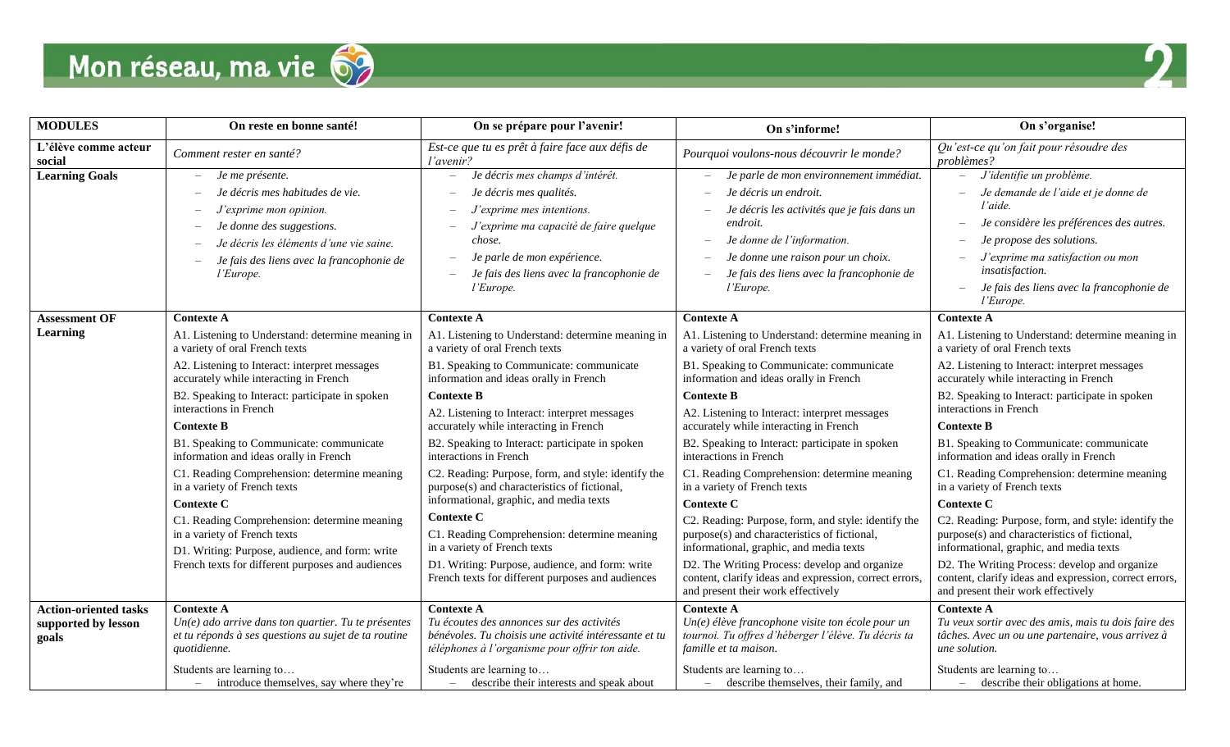



| <b>MODULES</b>                 | On reste en bonne santé!                                                                                                                                                                                            | On se prépare pour l'avenir!                                                                                                                                                                                                                                                                                      | On s'informe!                                                                                                                                                                                                                                             | On s'organise!                                                                                                                                                                                                                                                       |
|--------------------------------|---------------------------------------------------------------------------------------------------------------------------------------------------------------------------------------------------------------------|-------------------------------------------------------------------------------------------------------------------------------------------------------------------------------------------------------------------------------------------------------------------------------------------------------------------|-----------------------------------------------------------------------------------------------------------------------------------------------------------------------------------------------------------------------------------------------------------|----------------------------------------------------------------------------------------------------------------------------------------------------------------------------------------------------------------------------------------------------------------------|
| L'élève comme acteur<br>social | Comment rester en santé?                                                                                                                                                                                            | Est-ce que tu es prêt à faire face aux défis de<br>l'avenir?                                                                                                                                                                                                                                                      | Pourquoi voulons-nous découvrir le monde?                                                                                                                                                                                                                 | Qu'est-ce qu'on fait pour résoudre des<br>problèmes?                                                                                                                                                                                                                 |
| <b>Learning Goals</b>          | Je me présente.<br>Je décris mes habitudes de vie.<br>J'exprime mon opinion.<br>Je donne des suggestions.<br>-<br>Je décris les éléments d'une vie saine.<br>Je fais des liens avec la francophonie de<br>l'Europe. | Je décris mes champs d'intérêt.<br>$\overline{\phantom{m}}$<br>Je décris mes qualités.<br>J'exprime mes intentions.<br>$\qquad \qquad -$<br>J'exprime ma capacité de faire quelque<br>chose.<br>Je parle de mon expérience.<br>$\overline{\phantom{m}}$<br>Je fais des liens avec la francophonie de<br>l'Europe. | Je parle de mon environnement immédiat.<br>Je décris un endroit.<br>Je décris les activités que je fais dans un<br>endroit.<br>Je donne de l'information.<br>Je donne une raison pour un choix.<br>Je fais des liens avec la francophonie de<br>l'Europe. | J'identifie un problème.<br>Je demande de l'aide et je donne de<br>l'aide.<br>Je considère les préférences des autres.<br>Je propose des solutions.<br>J'exprime ma satisfaction ou mon<br>insatisfaction.<br>Je fais des liens avec la francophonie de<br>l'Europe. |
| <b>Assessment OF</b>           | <b>Contexte A</b>                                                                                                                                                                                                   | <b>Contexte A</b>                                                                                                                                                                                                                                                                                                 | <b>Contexte A</b>                                                                                                                                                                                                                                         | <b>Contexte A</b>                                                                                                                                                                                                                                                    |
| Learning                       | A1. Listening to Understand: determine meaning in<br>a variety of oral French texts                                                                                                                                 | A1. Listening to Understand: determine meaning in<br>a variety of oral French texts                                                                                                                                                                                                                               | A1. Listening to Understand: determine meaning in<br>a variety of oral French texts                                                                                                                                                                       | A1. Listening to Understand: determine meaning in<br>a variety of oral French texts                                                                                                                                                                                  |
|                                | A2. Listening to Interact: interpret messages<br>accurately while interacting in French                                                                                                                             | B1. Speaking to Communicate: communicate<br>information and ideas orally in French                                                                                                                                                                                                                                | B1. Speaking to Communicate: communicate<br>information and ideas orally in French                                                                                                                                                                        | A2. Listening to Interact: interpret messages<br>accurately while interacting in French                                                                                                                                                                              |
|                                | B2. Speaking to Interact: participate in spoken<br>interactions in French<br><b>Contexte B</b>                                                                                                                      | <b>Contexte B</b><br>A2. Listening to Interact: interpret messages<br>accurately while interacting in French                                                                                                                                                                                                      | <b>Contexte B</b><br>A2. Listening to Interact: interpret messages<br>accurately while interacting in French                                                                                                                                              | B2. Speaking to Interact: participate in spoken<br>interactions in French<br><b>Contexte B</b>                                                                                                                                                                       |
|                                | B1. Speaking to Communicate: communicate<br>information and ideas orally in French                                                                                                                                  | B2. Speaking to Interact: participate in spoken<br>interactions in French                                                                                                                                                                                                                                         | B2. Speaking to Interact: participate in spoken<br>interactions in French                                                                                                                                                                                 | B1. Speaking to Communicate: communicate<br>information and ideas orally in French                                                                                                                                                                                   |
|                                | C1. Reading Comprehension: determine meaning<br>in a variety of French texts                                                                                                                                        | C2. Reading: Purpose, form, and style: identify the<br>purpose(s) and characteristics of fictional,                                                                                                                                                                                                               | C1. Reading Comprehension: determine meaning<br>in a variety of French texts                                                                                                                                                                              | C1. Reading Comprehension: determine meaning<br>in a variety of French texts                                                                                                                                                                                         |
|                                | <b>Contexte C</b>                                                                                                                                                                                                   | informational, graphic, and media texts                                                                                                                                                                                                                                                                           | <b>Contexte C</b>                                                                                                                                                                                                                                         | <b>Contexte C</b>                                                                                                                                                                                                                                                    |
|                                | C1. Reading Comprehension: determine meaning<br>in a variety of French texts<br>D1. Writing: Purpose, audience, and form: write                                                                                     | <b>Contexte C</b><br>C1. Reading Comprehension: determine meaning<br>in a variety of French texts                                                                                                                                                                                                                 | C2. Reading: Purpose, form, and style: identify the<br>purpose(s) and characteristics of fictional,<br>informational, graphic, and media texts                                                                                                            | C2. Reading: Purpose, form, and style: identify the<br>purpose(s) and characteristics of fictional,<br>informational, graphic, and media texts                                                                                                                       |
|                                | French texts for different purposes and audiences                                                                                                                                                                   | D1. Writing: Purpose, audience, and form: write<br>French texts for different purposes and audiences                                                                                                                                                                                                              | D2. The Writing Process: develop and organize<br>content, clarify ideas and expression, correct errors<br>and present their work effectively                                                                                                              | D2. The Writing Process: develop and organize<br>content, clarify ideas and expression, correct errors,<br>and present their work effectively                                                                                                                        |
| <b>Action-oriented tasks</b>   | <b>Contexte A</b>                                                                                                                                                                                                   | <b>Contexte A</b>                                                                                                                                                                                                                                                                                                 | <b>Contexte A</b>                                                                                                                                                                                                                                         | <b>Contexte A</b>                                                                                                                                                                                                                                                    |
| supported by lesson<br>goals   | $Un(e)$ ado arrive dans ton quartier. Tu te présentes<br>et tu réponds à ses questions au sujet de ta routine<br>quotidienne.                                                                                       | Tu écoutes des annonces sur des activités<br>bénévoles. Tu choisis une activité intéressante et tu<br>téléphones à l'organisme pour offrir ton aide.                                                                                                                                                              | $Un(e)$ élève francophone visite ton école pour un<br>tournoi. Tu offres d'héberger l'élève. Tu décris ta<br>famille et ta maison.                                                                                                                        | Tu veux sortir avec des amis, mais tu dois faire des<br>tâches. Avec un ou une partenaire, vous arrivez à<br>une solution.                                                                                                                                           |
|                                | Students are learning to<br>- introduce themselves, say where they're                                                                                                                                               | Students are learning to<br>- describe their interests and speak about                                                                                                                                                                                                                                            | Students are learning to<br>- describe themselves, their family, and                                                                                                                                                                                      | Students are learning to<br>- describe their obligations at home.                                                                                                                                                                                                    |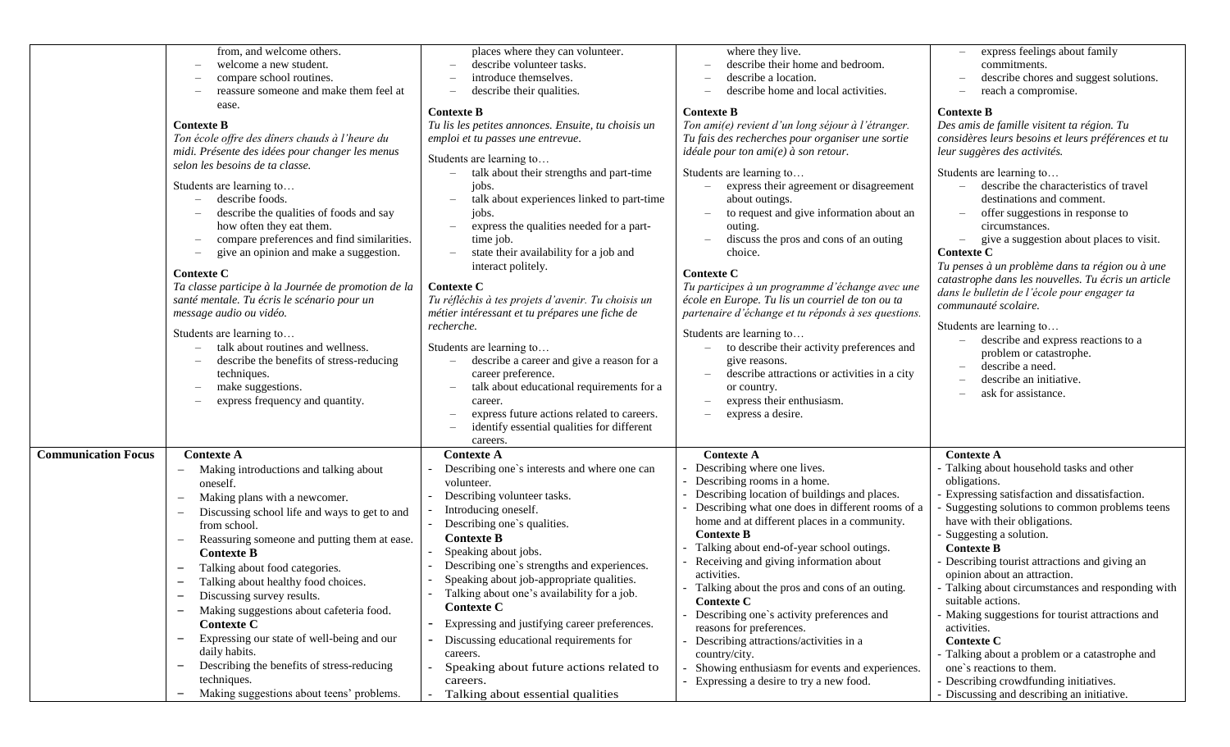|                            | from, and welcome others.<br>welcome a new student.<br>$\overline{\phantom{0}}$<br>compare school routines.<br>reassure someone and make them feel at<br>-<br>ease.<br><b>Contexte B</b><br>Ton école offre des dîners chauds à l'heure du<br>midi. Présente des idées pour changer les menus<br>selon les besoins de ta classe.<br>Students are learning to<br>describe foods.<br>describe the qualities of foods and say<br>how often they eat them.<br>compare preferences and find similarities.<br>give an opinion and make a suggestion.<br>$\overline{\phantom{0}}$<br><b>Contexte C</b><br>Ta classe participe à la Journée de promotion de la<br>santé mentale. Tu écris le scénario pour un<br>message audio ou vidéo.<br>Students are learning to<br>talk about routines and wellness.<br>describe the benefits of stress-reducing<br>techniques.<br>make suggestions.<br>express frequency and quantity.<br>$\overline{\phantom{0}}$ | places where they can volunteer.<br>describe volunteer tasks.<br>introduce themselves.<br>describe their qualities.<br><b>Contexte B</b><br>Tu lis les petites annonces. Ensuite, tu choisis un<br>emploi et tu passes une entrevue.<br>Students are learning to<br>talk about their strengths and part-time<br>jobs.<br>talk about experiences linked to part-time<br>jobs.<br>express the qualities needed for a part-<br>$\overbrace{\phantom{1232211}}$<br>time job.<br>state their availability for a job and<br>interact politely.<br><b>Contexte C</b><br>Tu réfléchis à tes projets d'avenir. Tu choisis un<br>métier intéressant et tu prépares une fiche de<br>recherche.<br>Students are learning to<br>describe a career and give a reason for a<br>career preference.<br>talk about educational requirements for a<br>career.<br>express future actions related to careers.<br>identify essential qualities for different<br>careers. | where they live.<br>describe their home and bedroom.<br>describe a location.<br>describe home and local activities.<br>$\overline{\phantom{m}}$<br><b>Contexte B</b><br>Ton ami(e) revient d'un long séjour à l'étranger.<br>Tu fais des recherches pour organiser une sortie<br>idéale pour ton ami(e) à son retour.<br>Students are learning to<br>express their agreement or disagreement<br>about outings.<br>to request and give information about an<br>outing.<br>discuss the pros and cons of an outing<br>$\overline{\phantom{m}}$<br>choice.<br><b>Contexte C</b><br>Tu participes à un programme d'échange avec une<br>école en Europe. Tu lis un courriel de ton ou ta<br>partenaire d'échange et tu réponds à ses questions.<br>Students are learning to<br>to describe their activity preferences and<br>give reasons.<br>describe attractions or activities in a city<br>or country.<br>express their enthusiasm.<br>express a desire.<br>$\overline{\phantom{0}}$ | express feelings about family<br>commitments.<br>describe chores and suggest solutions.<br>reach a compromise.<br><b>Contexte B</b><br>Des amis de famille visitent ta région. Tu<br>considères leurs besoins et leurs préférences et tu<br>leur suggères des activités.<br>Students are learning to<br>describe the characteristics of travel<br>destinations and comment.<br>offer suggestions in response to<br>circumstances.<br>give a suggestion about places to visit.<br><b>Contexte C</b><br>Tu penses à un problème dans ta région ou à une<br>catastrophe dans les nouvelles. Tu écris un article<br>dans le bulletin de l'école pour engager ta<br>communauté scolaire.<br>Students are learning to<br>describe and express reactions to a<br>problem or catastrophe.<br>describe a need.<br>describe an initiative.<br>ask for assistance. |
|----------------------------|--------------------------------------------------------------------------------------------------------------------------------------------------------------------------------------------------------------------------------------------------------------------------------------------------------------------------------------------------------------------------------------------------------------------------------------------------------------------------------------------------------------------------------------------------------------------------------------------------------------------------------------------------------------------------------------------------------------------------------------------------------------------------------------------------------------------------------------------------------------------------------------------------------------------------------------------------|----------------------------------------------------------------------------------------------------------------------------------------------------------------------------------------------------------------------------------------------------------------------------------------------------------------------------------------------------------------------------------------------------------------------------------------------------------------------------------------------------------------------------------------------------------------------------------------------------------------------------------------------------------------------------------------------------------------------------------------------------------------------------------------------------------------------------------------------------------------------------------------------------------------------------------------------------|-----------------------------------------------------------------------------------------------------------------------------------------------------------------------------------------------------------------------------------------------------------------------------------------------------------------------------------------------------------------------------------------------------------------------------------------------------------------------------------------------------------------------------------------------------------------------------------------------------------------------------------------------------------------------------------------------------------------------------------------------------------------------------------------------------------------------------------------------------------------------------------------------------------------------------------------------------------------------------------|---------------------------------------------------------------------------------------------------------------------------------------------------------------------------------------------------------------------------------------------------------------------------------------------------------------------------------------------------------------------------------------------------------------------------------------------------------------------------------------------------------------------------------------------------------------------------------------------------------------------------------------------------------------------------------------------------------------------------------------------------------------------------------------------------------------------------------------------------------|
| <b>Communication Focus</b> | <b>Contexte A</b><br>Making introductions and talking about<br>oneself.<br>Making plans with a newcomer.<br>Discussing school life and ways to get to and<br>from school.<br>Reassuring someone and putting them at ease.<br><b>Contexte B</b><br>Talking about food categories.<br>Talking about healthy food choices.<br>Discussing survey results.<br>Making suggestions about cafeteria food.<br><b>Contexte C</b><br>Expressing our state of well-being and our<br>$\overline{\phantom{0}}$<br>daily habits.<br>Describing the benefits of stress-reducing<br>techniques.<br>Making suggestions about teens' problems.                                                                                                                                                                                                                                                                                                                      | <b>Contexte A</b><br>Describing one's interests and where one can<br>volunteer.<br>Describing volunteer tasks.<br>Introducing oneself.<br>Describing one's qualities.<br><b>Contexte B</b><br>Speaking about jobs.<br>Describing one's strengths and experiences.<br>Speaking about job-appropriate qualities.<br>Talking about one's availability for a job.<br><b>Contexte C</b><br>Expressing and justifying career preferences.<br>Discussing educational requirements for<br>careers.<br>Speaking about future actions related to<br>careers.<br>Talking about essential qualities                                                                                                                                                                                                                                                                                                                                                            | <b>Contexte A</b><br>Describing where one lives.<br>Describing rooms in a home.<br>Describing location of buildings and places.<br>Describing what one does in different rooms of a<br>home and at different places in a community.<br><b>Contexte B</b><br>Talking about end-of-year school outings.<br>Receiving and giving information about<br>activities.<br>Talking about the pros and cons of an outing.<br><b>Contexte C</b><br>Describing one's activity preferences and<br>reasons for preferences.<br>Describing attractions/activities in a<br>country/city.<br>Showing enthusiasm for events and experiences.<br>Expressing a desire to try a new food.                                                                                                                                                                                                                                                                                                              | <b>Contexte A</b><br>Talking about household tasks and other<br>obligations.<br>Expressing satisfaction and dissatisfaction.<br>Suggesting solutions to common problems teens<br>have with their obligations.<br>- Suggesting a solution.<br><b>Contexte B</b><br>Describing tourist attractions and giving an<br>opinion about an attraction.<br>- Talking about circumstances and responding with<br>suitable actions.<br>- Making suggestions for tourist attractions and<br>activities.<br><b>Contexte C</b><br>Talking about a problem or a catastrophe and<br>one's reactions to them.<br>- Describing crowdfunding initiatives.<br>- Discussing and describing an initiative.                                                                                                                                                                    |